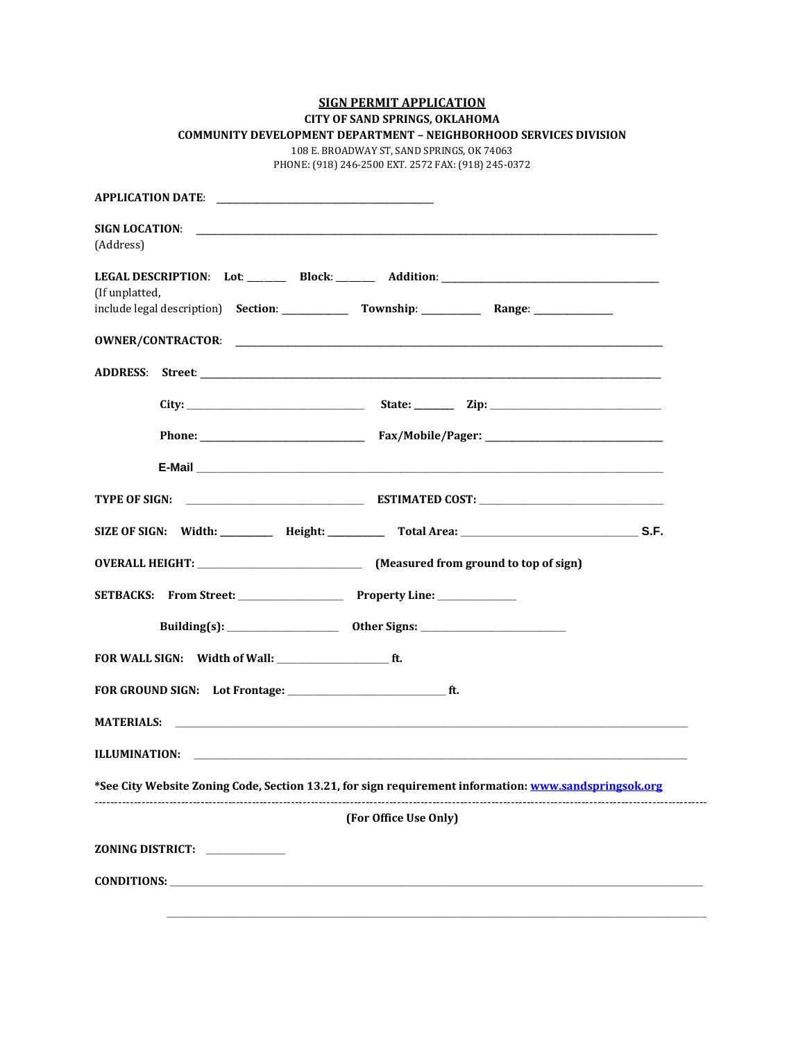|  |  |  | <b>SIGN PERMIT APPLICATION</b> |  |
|--|--|--|--------------------------------|--|
|--|--|--|--------------------------------|--|

|  |  | <b>CITY OF SAND SPRINGS, OKLAHOMA</b> |
|--|--|---------------------------------------|
|  |  |                                       |

| COMMUNITY DEVELOPMENT DEPARTMENT - NEIGHBORHOOD SERVICES DIVISION |
|-------------------------------------------------------------------|
|-------------------------------------------------------------------|

108 E. BROADWAY ST, SAND SPRINGS, OK 74063 PHONE: (918) 246-2500 EXT. 2572 FAX: (918) 245-0372

**APPLICATION DATE: SIGN LOCATION**: \_\_\_\_\_\_\_\_\_\_\_\_\_\_\_\_\_\_\_\_\_\_\_\_\_\_\_\_\_\_\_\_\_\_\_\_\_\_\_\_\_\_\_\_\_\_\_\_\_\_\_\_\_\_\_\_\_\_\_\_\_\_\_\_\_\_\_\_\_\_ (Address) **LEGAL DESCRIPTION**: **Lot**: \_\_\_\_\_\_\_\_\_ **Block**: \_\_\_\_\_\_\_\_\_ **Addition**: \_\_\_\_\_\_\_\_\_\_\_\_\_\_\_\_\_\_\_\_\_\_\_\_\_\_\_\_\_\_\_\_\_ (If unplatted, include legal description) **Section**: \_\_\_\_\_\_\_\_\_\_ **Township**: \_\_\_\_\_\_\_\_\_ **Range**: \_\_\_\_\_\_\_\_\_\_\_\_ **OWNER/CONTRACTOR**: \_\_\_\_\_\_\_\_\_\_\_\_\_\_\_\_\_\_\_\_\_\_\_\_\_\_\_\_\_\_\_\_\_\_\_\_\_\_\_\_\_\_\_\_\_\_\_\_\_\_\_\_\_\_\_\_\_\_\_\_\_\_\_\_\_ **ADDRESS**: **Street**: \_\_\_\_\_\_\_\_\_\_\_\_\_\_\_\_\_\_\_\_\_\_\_\_\_\_\_\_\_\_\_\_\_\_\_\_\_\_\_\_\_\_\_\_\_\_\_\_\_\_\_\_\_\_\_\_\_\_\_\_\_\_\_\_\_\_\_\_\_\_ **City: \_\_\_\_\_\_\_\_\_\_\_\_\_\_\_\_\_\_\_\_\_\_\_\_\_\_\_ State: \_\_\_\_\_\_\_\_\_ Zip: \_\_\_\_\_\_\_\_\_\_\_\_\_\_\_\_\_\_\_\_\_\_\_\_\_\_ Phone:** \_\_\_\_\_\_\_\_\_\_\_\_\_\_\_\_\_\_\_\_\_\_\_\_\_ **Fax/Mobile/Pager:** \_\_\_\_\_\_\_\_\_\_\_\_\_\_\_\_\_\_\_\_\_\_\_\_\_\_\_ **E-Mail \_\_\_\_\_\_\_\_\_\_\_\_\_\_\_\_\_\_\_\_\_\_\_\_\_\_\_\_\_\_\_\_\_\_\_\_\_\_\_\_\_\_\_\_\_\_\_\_\_\_\_\_\_\_\_\_\_\_\_\_\_\_\_\_\_\_\_\_\_\_\_ TYPE OF SIGN: \_\_\_\_\_\_\_\_\_\_\_\_\_\_\_\_\_\_\_\_\_\_\_\_\_\_\_ ESTIMATED COST: \_\_\_\_\_\_\_\_\_\_\_\_\_\_\_\_\_\_\_\_\_\_\_\_\_\_\_\_ SIZE OF SIGN: Width: \_\_\_\_\_\_\_\_\_\_\_\_ Height: \_\_\_\_\_\_\_\_\_\_\_\_\_ Total Area: \_\_\_\_\_\_\_\_\_\_\_\_\_\_\_\_\_\_\_\_\_\_\_\_\_\_\_ S.F. OVERALL HEIGHT: \_\_\_\_\_\_\_\_\_\_\_\_\_\_\_\_\_\_\_\_\_\_\_\_\_ (Measured from ground to top of sign) SETBACKS: From Street: \_\_\_\_\_\_\_\_\_\_\_\_\_\_\_\_ Property Line: \_\_\_\_\_\_\_\_\_\_\_\_ Building(s): \_\_\_\_\_\_\_\_\_\_\_\_\_\_\_\_\_ Other Signs: \_\_\_\_\_\_\_\_\_\_\_\_\_\_\_\_\_\_\_\_\_\_ FOR WALL SIGN: Width of Wall: \_\_\_\_\_\_\_\_\_\_\_\_\_\_\_\_\_ ft. FOR GROUND SIGN: Lot Frontage: \_\_\_\_\_\_\_\_\_\_\_\_\_\_\_\_\_\_\_\_\_\_\_\_ ft. MATERIALS: \_\_\_\_\_\_\_\_\_\_\_\_\_\_\_\_\_\_\_\_\_\_\_\_\_\_\_\_\_\_\_\_\_\_\_\_\_\_\_\_\_\_\_\_\_\_\_\_\_\_\_\_\_\_\_\_\_\_\_\_\_\_\_\_\_\_\_\_\_\_\_\_\_\_\_\_\_\_ ILLUMINATION: \*See City Website Zoning Code, Section 13.21, for sign requirement information[: www.sandspringsok.org](http://www.sandspringsok.org/)** ------------------------------------------------------------------------------------------------------------------------------------------------------------ **(For Office Use Only) ZONING DISTRICT: \_\_\_\_\_\_\_\_\_\_\_\_ CONDITIONS:**  $\blacksquare$  **\_\_\_\_\_\_\_\_\_\_\_\_\_\_\_\_\_\_\_\_\_\_\_\_\_\_\_\_\_\_\_\_\_\_\_\_\_\_\_\_\_\_\_\_\_\_\_\_\_\_\_\_\_\_\_\_\_\_\_\_\_\_\_\_\_\_\_\_\_\_\_\_\_\_\_\_\_\_\_\_\_\_**